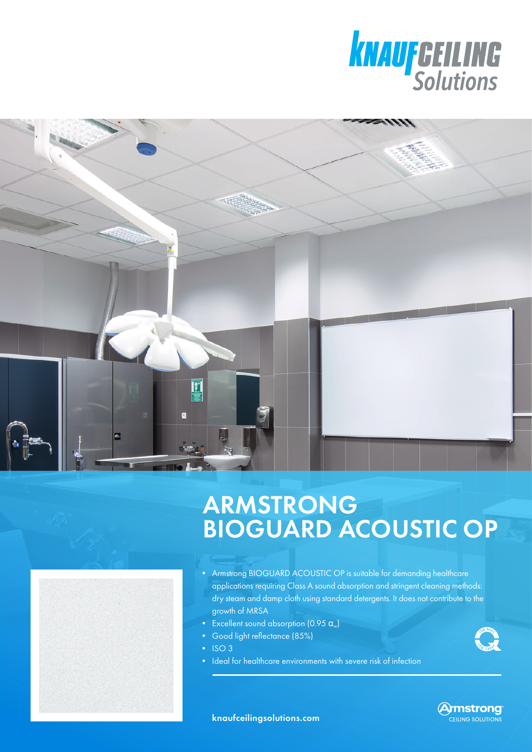



## ARMSTRONG BIOGUARD ACOUSTIC OP



• Armstrong BIOGUARD ACOUSTIC OP is suitable for demanding healthcare applications requiring Class A sound absorption and stringent cleaning methods: dry steam and damp cloth using standard detergents. It does not contribute to the growth of MRSA

- Excellent sound absorption  $(0.95 \alpha_{\nu})$
- Good light reflectance (85%)
- ISO 3
- Ideal for healthcare environments with severe risk of infection



**Armstrong** CEILING SOLUTIONS

knaufceilingsolutions.com